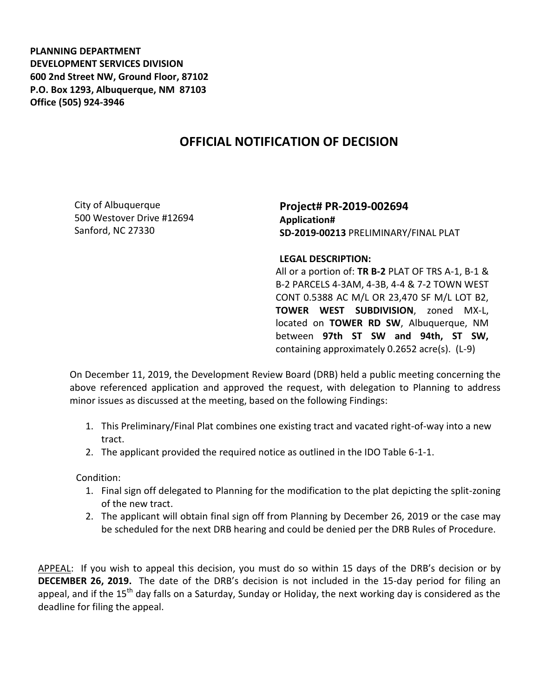**PLANNING DEPARTMENT DEVELOPMENT SERVICES DIVISION 600 2nd Street NW, Ground Floor, 87102 P.O. Box 1293, Albuquerque, NM 87103 Office (505) 924-3946** 

## **OFFICIAL NOTIFICATION OF DECISION**

City of Albuquerque 500 Westover Drive #12694 Sanford, NC 27330

**Project# PR-2019-002694 Application# SD-2019-00213** PRELIMINARY/FINAL PLAT

**LEGAL DESCRIPTION:**

All or a portion of: **TR B-2** PLAT OF TRS A-1, B-1 & B-2 PARCELS 4-3AM, 4-3B, 4-4 & 7-2 TOWN WEST CONT 0.5388 AC M/L OR 23,470 SF M/L LOT B2, **TOWER WEST SUBDIVISION**, zoned MX-L, located on **TOWER RD SW**, Albuquerque, NM between **97th ST SW and 94th, ST SW,** containing approximately 0.2652 acre(s). (L-9)

On December 11, 2019, the Development Review Board (DRB) held a public meeting concerning the above referenced application and approved the request, with delegation to Planning to address minor issues as discussed at the meeting, based on the following Findings:

- 1. This Preliminary/Final Plat combines one existing tract and vacated right-of-way into a new tract.
- 2. The applicant provided the required notice as outlined in the IDO Table 6-1-1.

Condition:

- 1. Final sign off delegated to Planning for the modification to the plat depicting the split-zoning of the new tract.
- 2. The applicant will obtain final sign off from Planning by December 26, 2019 or the case may be scheduled for the next DRB hearing and could be denied per the DRB Rules of Procedure.

APPEAL: If you wish to appeal this decision, you must do so within 15 days of the DRB's decision or by **DECEMBER 26, 2019.** The date of the DRB's decision is not included in the 15-day period for filing an appeal, and if the 15<sup>th</sup> day falls on a Saturday, Sunday or Holiday, the next working day is considered as the deadline for filing the appeal.